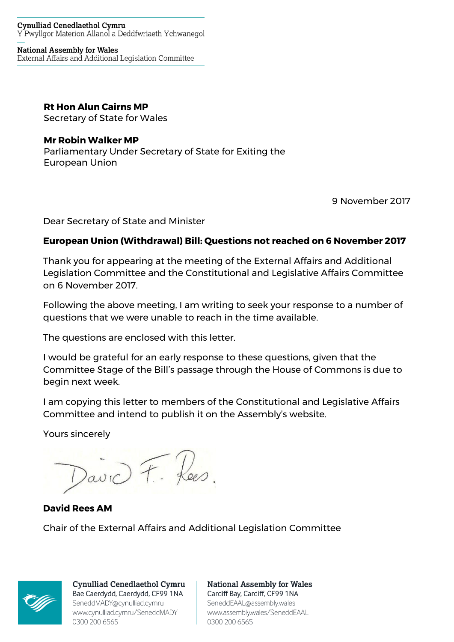#### **Cynulliad Cenedlaethol Cymru** Y Pwyllgor Materion Allanol a Deddfwriaeth Ychwanegol

**National Assembly for Wales** External Affairs and Additional Legislation Committee

> **Rt Hon Alun Cairns MP** Secretary of State for Wales

#### **Mr Robin Walker MP**

Parliamentary Under Secretary of State for Exiting the European Union

9 November 2017

Dear Secretary of State and Minister

#### **European Union (Withdrawal) Bill: Questions not reached on 6 November 2017**

Thank you for appearing at the meeting of the External Affairs and Additional Legislation Committee and the Constitutional and Legislative Affairs Committee on 6 November 2017.

Following the above meeting, I am writing to seek your response to a number of questions that we were unable to reach in the time available.

The questions are enclosed with this letter.

I would be grateful for an early response to these questions, given that the Committee Stage of the Bill's passage through the House of Commons is due to begin next week.

I am copying this letter to members of the Constitutional and Legislative Affairs Committee and intend to publish it on the Assembly's website.

Yours sincerely

David F. Rees.

**David Rees AM**

Chair of the External Affairs and Additional Legislation Committee



**Cynulliad Cenedlaethol Cymru** Bae Caerdydd, Caerdydd, CF99 1NA SeneddMADY@cynulliad.cymru www.cynulliad.cymru/SeneddMADY 0300 200 6565

**National Assembly for Wales** Cardiff Bay, Cardiff, CF99 1NA SeneddEAAL@assembly.wales www.assembly.wales/SeneddEAAL 0300 200 6565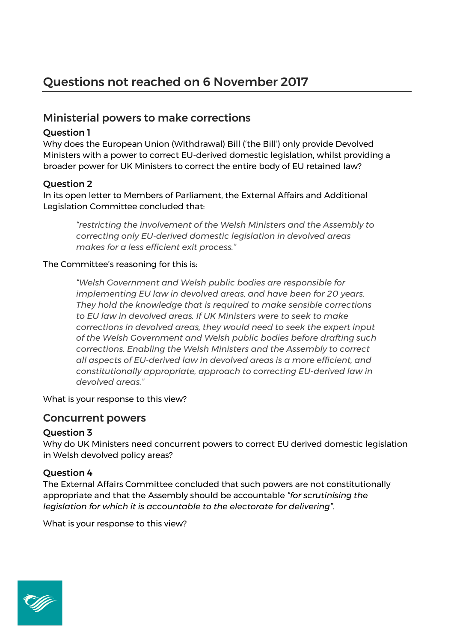# Ministerial powers to make corrections

# Question 1

Why does the European Union (Withdrawal) Bill ('the Bill') only provide Devolved Ministers with a power to correct EU-derived domestic legislation, whilst providing a broader power for UK Ministers to correct the entire body of EU retained law?

# Question 2

In its open letter to Members of Parliament, the External Affairs and Additional Legislation Committee concluded that:

> *"restricting the involvement of the Welsh Ministers and the Assembly to correcting only EU-derived domestic legislation in devolved areas makes for a less efficient exit process."*

### The Committee's reasoning for this is:

*"Welsh Government and Welsh public bodies are responsible for implementing EU law in devolved areas, and have been for 20 years. They hold the knowledge that is required to make sensible corrections to EU law in devolved areas. If UK Ministers were to seek to make corrections in devolved areas, they would need to seek the expert input of the Welsh Government and Welsh public bodies before drafting such corrections. Enabling the Welsh Ministers and the Assembly to correct all aspects of EU-derived law in devolved areas is a more efficient, and constitutionally appropriate, approach to correcting EU-derived law in devolved areas."*

What is your response to this view?

# Concurrent powers

# Question 3

Why do UK Ministers need concurrent powers to correct EU derived domestic legislation in Welsh devolved policy areas?

# Question 4

The External Affairs Committee concluded that such powers are not constitutionally appropriate and that the Assembly should be accountable *"for scrutinising the legislation for which it is accountable to the electorate for delivering".*

What is your response to this view?

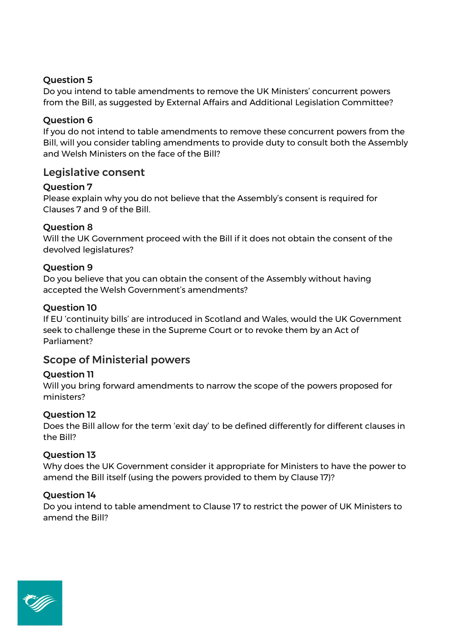#### Question 5

Do you intend to table amendments to remove the UK Ministers' concurrent powers from the Bill, as suggested by External Affairs and Additional Legislation Committee?

#### Question 6

If you do not intend to table amendments to remove these concurrent powers from the Bill, will you consider tabling amendments to provide duty to consult both the Assembly and Welsh Ministers on the face of the Bill?

# Legislative consent

### Question 7

Please explain why you do not believe that the Assembly's consent is required for Clauses 7 and 9 of the Bill.

### Question 8

Will the UK Government proceed with the Bill if it does not obtain the consent of the devolved legislatures?

### Question 9

Do you believe that you can obtain the consent of the Assembly without having accepted the Welsh Government's amendments?

### Question 10

If EU 'continuity bills' are introduced in Scotland and Wales, would the UK Government seek to challenge these in the Supreme Court or to revoke them by an Act of Parliament?

# Scope of Ministerial powers

# Question 11

Will you bring forward amendments to narrow the scope of the powers proposed for ministers?

#### Question 12

Does the Bill allow for the term 'exit day' to be defined differently for different clauses in the Bill?

# Question 13

Why does the UK Government consider it appropriate for Ministers to have the power to amend the Bill itself (using the powers provided to them by Clause 17)?

#### Question 14

Do you intend to table amendment to Clause 17 to restrict the power of UK Ministers to amend the Bill?